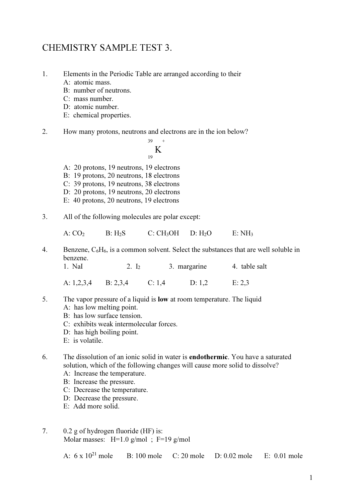## CHEMISTRY SAMPLE TEST 3.

- 1. Elements in the Periodic Table are arranged according to their
	- A: atomic mass.
	- B: number of neutrons.
	- C: mass number.
	- D: atomic number.
	- E: chemical properties.
- 2. How many protons, neutrons and electrons are in the ion below?

 $39 +$  K 19

- A: 20 protons, 19 neutrons, 19 electrons
- B: 19 protons, 20 neutrons, 18 electrons
- C: 39 protons, 19 neutrons, 38 electrons
- D: 20 protons, 19 neutrons, 20 electrons
- E: 40 protons, 20 neutrons, 19 electrons
- 3. All of the following molecules are polar except:

 $A: CO<sub>2</sub>$  B: H<sub>2</sub>S C: CH<sub>3</sub>OH D: H<sub>2</sub>O E: NH<sub>3</sub>

4. Benzene, C6H6, is a common solvent. Select the substances that are well soluble in benzene.

1. NaI 2.  $I_2$  3. margarine 4. table salt A: 1,2,3,4 B: 2,3,4 C: 1,4 D: 1,2 E: 2,3

- 5. The vapor pressure of a liquid is low at room temperature. The liquid
	- A: has low melting point.
	- B: has low surface tension.
	- C: exhibits weak intermolecular forces.
	- D: has high boiling point.
	- E: is volatile.
- 6. The dissolution of an ionic solid in water is endothermic. You have a saturated solution, which of the following changes will cause more solid to dissolve? A: Increase the temperature.
	- B: Increase the pressure.
	- C: Decrease the temperature.
	- D: Decrease the pressure.
	- E: Add more solid.
- 7. 0.2 g of hydrogen fluoride (HF) is: Molar masses:  $H=1.0$  g/mol;  $F=19$  g/mol

A: 6 x 10<sup>21</sup> mole B: 100 mole C: 20 mole D: 0.02 mole E: 0.01 mole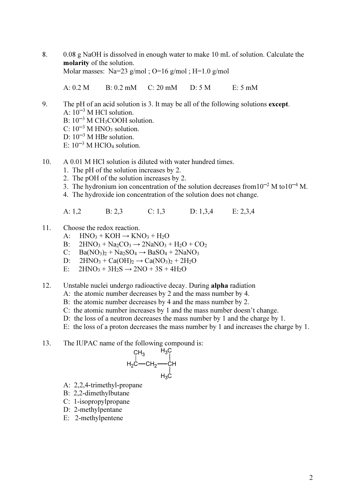8. 0.08 g NaOH is dissolved in enough water to make 10 mL of solution. Calculate the molarity of the solution. Molar masses: Na=23 g/mol ; O=16 g/mol ; H=1.0 g/mol

A: 0.2 M B: 0.2 mM C: 20 mM D: 5 M E: 5 mM

- 9. The pH of an acid solution is 3. It may be all of the following solutions except. A:  $10^{-3}$  M HCl solution.  $B: 10^{-3}$  M CH<sub>3</sub>COOH solution.  $C: 10^{-3}$  M HNO<sub>3</sub> solution. D:  $10^{-3}$  M HBr solution. E:  $10^{-3}$  M HClO<sub>4</sub> solution.
- 10. A 0.01 M HCl solution is diluted with water hundred times.
	- 1. The pH of the solution increases by 2.
	- 2. The pOH of the solution increases by 2.
	- 3. The hydronium ion concentration of the solution decreases from  $10^{-2}$  M to  $10^{-4}$  M.
	- 4. The hydroxide ion concentration of the solution does not change.
	- A: 1,2 B: 2,3 C: 1,3 D: 1,3,4 E: 2,3,4
- 11. Choose the redox reaction.
	- A:  $HNO_3 + KOH \rightarrow KNO_3 + H_2O$
	- B:  $2HNO<sub>3</sub> + Na<sub>2</sub>CO<sub>3</sub> \rightarrow 2NaNO<sub>3</sub> + H<sub>2</sub>O + CO<sub>2</sub>$
	- C: Ba( $NO<sub>3</sub>$ )<sub>2</sub> + Na<sub>2</sub>SO<sub>4</sub>  $\rightarrow$  BaSO<sub>4</sub> + 2NaNO<sub>3</sub>
	- D:  $2HNO_3 + Ca(OH)_2 \rightarrow Ca(NO_3)_2 + 2H_2O$ <br>E:  $2HNO_3 + 3H_2S \rightarrow 2NO + 3S + 4H_2O$
	- $2HNO<sub>3</sub> + 3H<sub>2</sub>S \rightarrow 2NO + 3S + 4H<sub>2</sub>O$
- 12. Unstable nuclei undergo radioactive decay. During alpha radiation
	- A: the atomic number decreases by 2 and the mass number by 4.
	- B: the atomic number decreases by 4 and the mass number by 2.
	- C: the atomic number increases by 1 and the mass number doesn't change.
	- D: the loss of a neutron decreases the mass number by 1 and the charge by 1.
	- E: the loss of a proton decreases the mass number by 1 and increases the charge by 1.
- 13. The IUPAC name of the following compound is:

$$
\begin{array}{cc}\nCH_3 & H_3C \\
| & | & \n\end{array}
$$
\n
$$
H_2C
$$
\n
$$
CH_2
$$
\n
$$
H_3C
$$
\n
$$
H_3C
$$

- A: 2,2,4-trimethyl-propane
- B: 2,2-dimethylbutane
- C: 1-isopropylpropane
- D: 2-methylpentane
- E: 2-methylpentene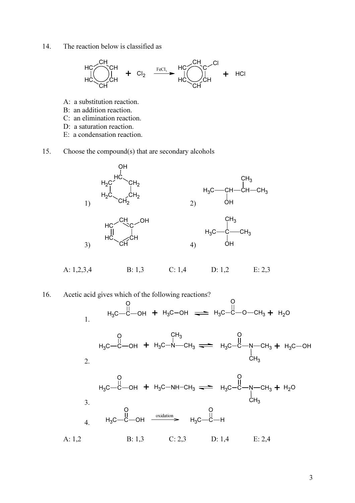14. The reaction below is classified as



- A: a substitution reaction.
- B: an addition reaction.
- C: an elimination reaction.
- D: a saturation reaction.
- E: a condensation reaction.
- 15. Choose the compound(s) that are secondary alcohols



16. Acetic acid gives which of the following reactions? 1. н $_{3}$ с $-$ ё O OH  $+$  H<sub>3</sub>C-OH  $\implies$  H<sub>3</sub>C-C-O-CH<sub>3</sub> O  $+$  H<sub>2</sub>O 2. н $_{3}$ с $-$ ё O OH  $+$  H<sub>3</sub>C-N-CH<sub>3</sub>  $CH<sub>3</sub>$  $_{\rm H_3}$ C $-$ C $-$ N $-$ CH $_{\rm 3}$ O  $\mathrm{\dot{C}}\mathrm{H}_3$  $+$  H<sub>3</sub>C-OH 3.  $_{\rm H_3C}$ —C O OH  $+$  H<sub>3</sub>C-NH-CH<sub>3</sub>  $\rightleftharpoons$  H<sub>3</sub>C-C-N-CH<sub>3</sub> O  $\mathrm{\dot{C}}\mathrm{H}_3$  $+ H<sub>2</sub>O$ 4.  $H_3C - C$ O OH  $\frac{\text{oxidation}}{\text{S}}$  H<sub>3</sub>C-C O H A: 1,2 B: 1,3 C: 2,3 D: 1,4 E: 2,4